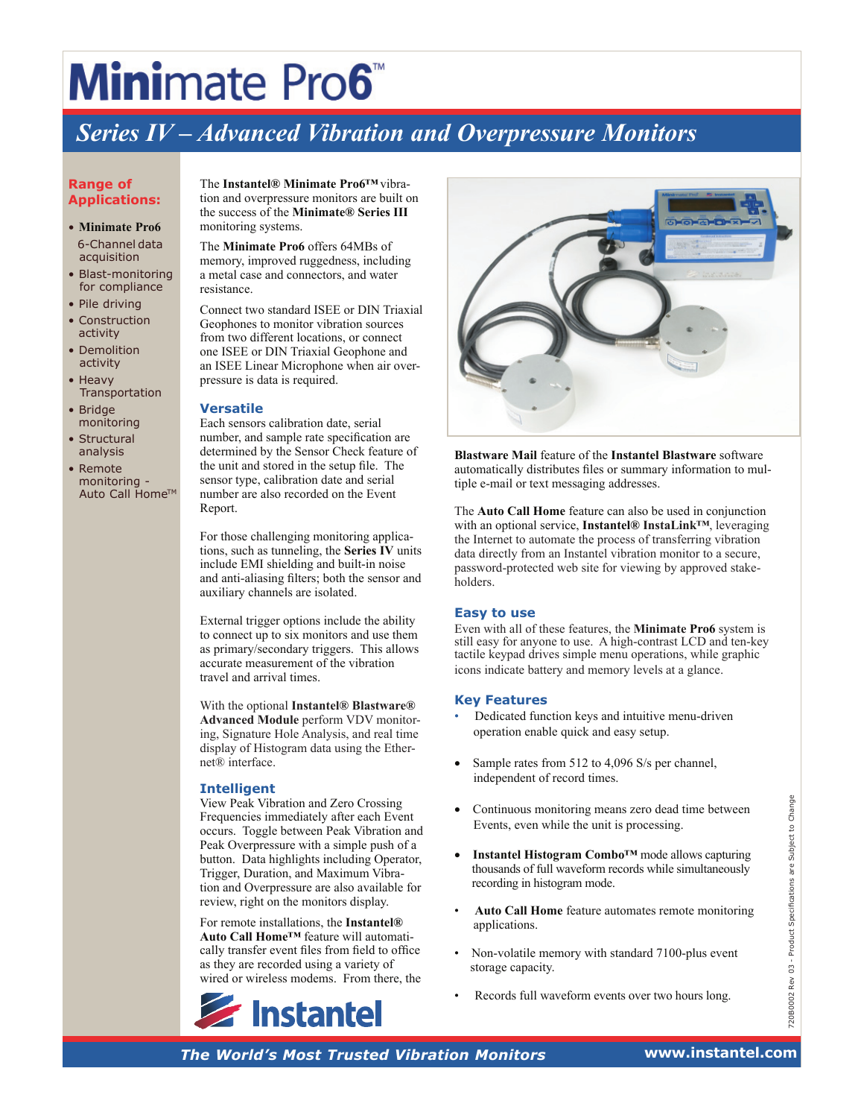# **Mini**mate Pro6<sup>™</sup>

# *Series IV – Advanced Vibration and Overpressure Monitors*

### **Range of Applications:**

- **Minimate Pro6** 6-Channel data acquisition
- Blast-monitoring for compliance
- Pile driving
- Construction activity • Demolition
- activity
- **Heavy Transportation**
- Bridge monitoring
- Structural analysis
- Remote monitoring - Auto Call Home™

The **Instantel® Minimate Pro6™**vibration and overpressure monitors are built on the success of the **Minimate® Series III** monitoring systems.

The **Minimate Pro6** offers 64MBs of memory, improved ruggedness, including a metal case and connectors, and water resistance.

Connect two standard ISEE or DIN Triaxial Geophones to monitor vibration sources from two different locations, or connect one ISEE or DIN Triaxial Geophone and an ISEE Linear Microphone when air overpressure is data is required.

## **Versatile**

Each sensors calibration date, serial number, and sample rate specification are determined by the Sensor Check feature of the unit and stored in the setup file. The sensor type, calibration date and serial number are also recorded on the Event Report.

For those challenging monitoring applications, such as tunneling, the **Series IV** units include EMI shielding and built-in noise and anti-aliasing filters; both the sensor and auxiliary channels are isolated.

External trigger options include the ability to connect up to six monitors and use them as primary/secondary triggers. This allows accurate measurement of the vibration travel and arrival times.

With the optional **Instantel® Blastware® Advanced Module** perform VDV monitoring, Signature Hole Analysis, and real time display of Histogram data using the Ethernet® interface.

## **Intelligent**

View Peak Vibration and Zero Crossing<br>
Frequencies immediately after each Events, even while the unit is processing.<br>
Peak Overpressure with a simple push of a<br>
button. Data highlights including Operator,<br>
Trigger, Durat View Peak Vibration and Zero Crossing Frequencies immediately after each Event occurs. Toggle between Peak Vibration and Peak Overpressure with a simple push of a button. Data highlights including Operator, Trigger, Duration, and Maximum Vibration and Overpressure are also available for review, right on the monitors display.

For remote installations, the **Instantel® Auto Call Home™** feature will automatically transfer event files from field to office as they are recorded using a variety of wired or wireless modems. From there, the





**Blastware Mail** feature of the **Instantel Blastware** software automatically distributes files or summary information to multiple e-mail or text messaging addresses.

The **Auto Call Home** feature can also be used in conjunction with an optional service, **Instantel® InstaLink™**, leveraging the Internet to automate the process of transferring vibration data directly from an Instantel vibration monitor to a secure, password-protected web site for viewing by approved stakeholders.

### **Easy to use**

Even with all of these features, the **Minimate Pro6** system is still easy for anyone to use. A high-contrast LCD and ten-key tactile keypad drives simple menu operations, while graphic icons indicate battery and memory levels at a glance.

### **Key Features**

- Dedicated function keys and intuitive menu-driven operation enable quick and easy setup.
- Sample rates from 512 to 4,096 S/s per channel, independent of record times.
- Continuous monitoring means zero dead time between Events, even while the unit is processing.
- **Instantel Histogram Combo™** mode allows capturing thousands of full waveform records while simultaneously recording in histogram mode.
- **Auto Call Home** feature automates remote monitoring applications.
- Non-volatile memory with standard 7100-plus event storage capacity.
- Records full waveform events over two hours long.